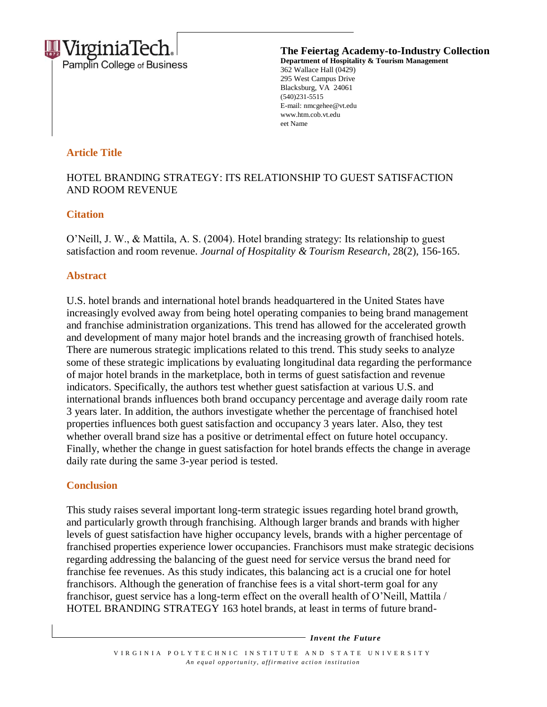

**The Feiertag Academy-to-Industry Collection Department of Hospitality & Tourism Management** 362 Wallace Hall (0429) 295 West Campus Drive Blacksburg, VA 24061 (540)231-5515 E-mail: nmcgehee@vt.edu www.htm.cob.vt.edu eet Name

## **Article Title**

# HOTEL BRANDING STRATEGY: ITS RELATIONSHIP TO GUEST SATISFACTION AND ROOM REVENUE

### **Citation**

O'Neill, J. W., & Mattila, A. S. (2004). Hotel branding strategy: Its relationship to guest satisfaction and room revenue. *Journal of Hospitality & Tourism Research*, 28(2), 156-165.

#### **Abstract**

U.S. hotel brands and international hotel brands headquartered in the United States have increasingly evolved away from being hotel operating companies to being brand management and franchise administration organizations. This trend has allowed for the accelerated growth and development of many major hotel brands and the increasing growth of franchised hotels. There are numerous strategic implications related to this trend. This study seeks to analyze some of these strategic implications by evaluating longitudinal data regarding the performance of major hotel brands in the marketplace, both in terms of guest satisfaction and revenue indicators. Specifically, the authors test whether guest satisfaction at various U.S. and international brands influences both brand occupancy percentage and average daily room rate 3 years later. In addition, the authors investigate whether the percentage of franchised hotel properties influences both guest satisfaction and occupancy 3 years later. Also, they test whether overall brand size has a positive or detrimental effect on future hotel occupancy. Finally, whether the change in guest satisfaction for hotel brands effects the change in average daily rate during the same 3-year period is tested.

### **Conclusion**

This study raises several important long-term strategic issues regarding hotel brand growth, and particularly growth through franchising. Although larger brands and brands with higher levels of guest satisfaction have higher occupancy levels, brands with a higher percentage of franchised properties experience lower occupancies. Franchisors must make strategic decisions regarding addressing the balancing of the guest need for service versus the brand need for franchise fee revenues. As this study indicates, this balancing act is a crucial one for hotel franchisors. Although the generation of franchise fees is a vital short-term goal for any franchisor, guest service has a long-term effect on the overall health of O'Neill, Mattila / HOTEL BRANDING STRATEGY 163 hotel brands, at least in terms of future brand-

*Invent the Future*